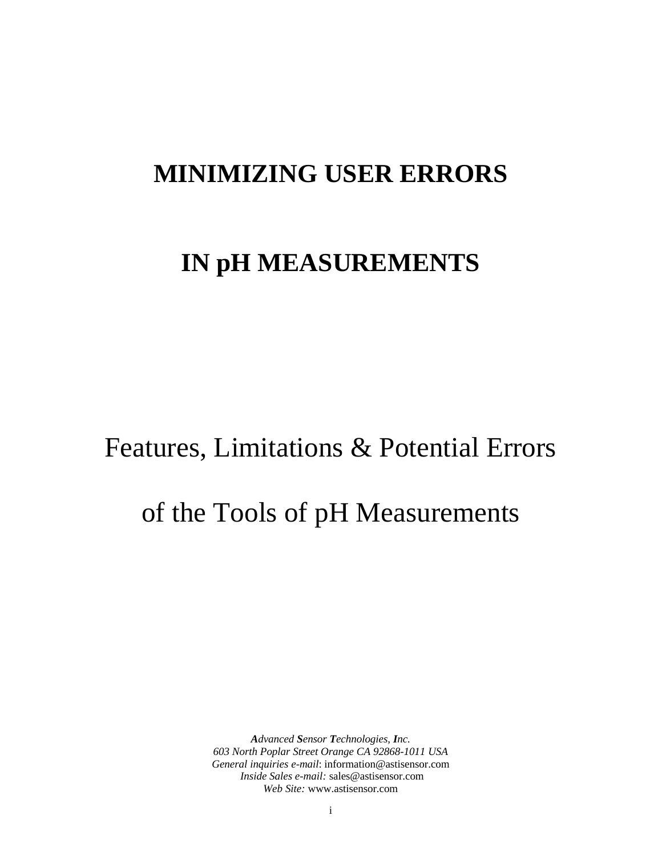# **MINIMIZING USER ERRORS**

# **IN pH MEASUREMENTS**

# Features, Limitations & Potential Errors

# of the Tools of pH Measurements

*Advanced Sensor Technologies, Inc. 603 North Poplar Street Orange CA 92868-1011 USA General inquiries e-mail*: information@astisensor.com  *Inside Sales e-mail:* sales@astisensor.com *Web Site:* www.astisensor.com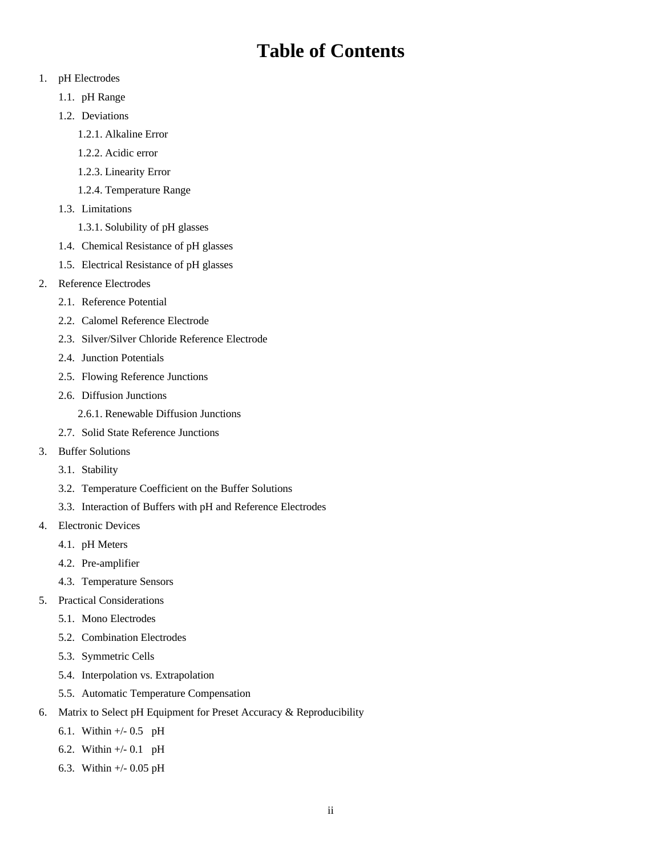# **Table of Contents**

- 1. pH Electrodes
	- 1.1. pH Range
	- 1.2. Deviations
		- 1.2.1. Alkaline Error
		- 1.2.2. Acidic error
		- 1.2.3. Linearity Error
		- 1.2.4. Temperature Range
	- 1.3. Limitations
		- 1.3.1. Solubility of pH glasses
	- 1.4. Chemical Resistance of pH glasses
	- 1.5. Electrical Resistance of pH glasses
- 2. Reference Electrodes
	- 2.1. Reference Potential
	- 2.2. Calomel Reference Electrode
	- 2.3. Silver/Silver Chloride Reference Electrode
	- 2.4. Junction Potentials
	- 2.5. Flowing Reference Junctions
	- 2.6. Diffusion Junctions
		- 2.6.1. Renewable Diffusion Junctions
	- 2.7. Solid State Reference Junctions
- 3. Buffer Solutions
	- 3.1. Stability
	- 3.2. Temperature Coefficient on the Buffer Solutions
	- 3.3. Interaction of Buffers with pH and Reference Electrodes
- 4. Electronic Devices
	- 4.1. pH Meters
	- 4.2. Pre-amplifier
	- 4.3. Temperature Sensors
- 5. Practical Considerations
	- 5.1. Mono Electrodes
	- 5.2. Combination Electrodes
	- 5.3. Symmetric Cells
	- 5.4. Interpolation vs. Extrapolation
	- 5.5. Automatic Temperature Compensation
- 6. Matrix to Select pH Equipment for Preset Accuracy & Reproducibility
	- 6.1. Within +/- 0.5 pH
	- 6.2. Within +/- 0.1 pH
	- 6.3. Within +/- 0.05 pH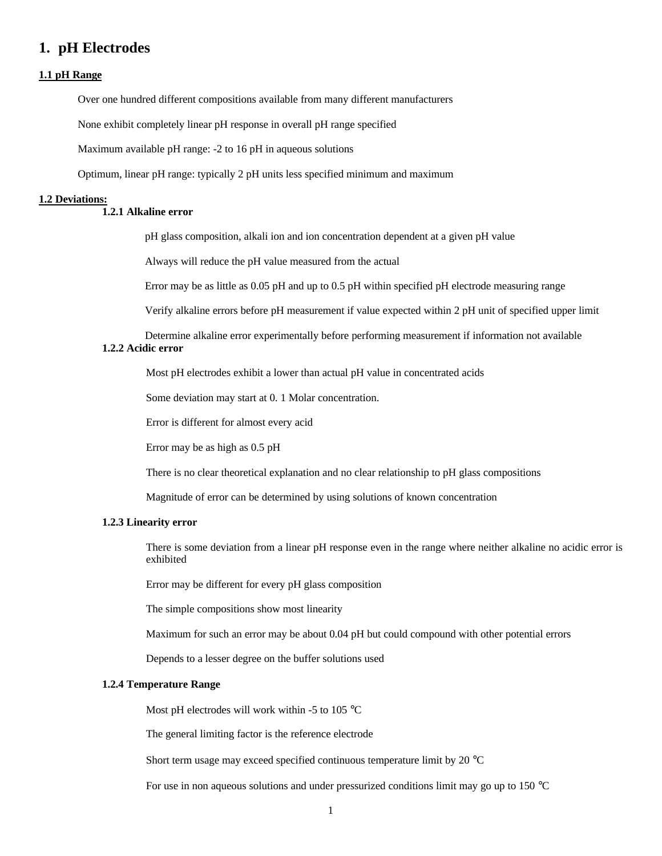## **1. pH Electrodes**

#### **1.1 pH Range**

Over one hundred different compositions available from many different manufacturers

None exhibit completely linear pH response in overall pH range specified

Maximum available pH range: -2 to 16 pH in aqueous solutions

Optimum, linear pH range: typically 2 pH units less specified minimum and maximum

#### **1.2 Deviations:**

#### **1.2.1 Alkaline error**

pH glass composition, alkali ion and ion concentration dependent at a given pH value

Always will reduce the pH value measured from the actual

Error may be as little as 0.05 pH and up to 0.5 pH within specified pH electrode measuring range

Verify alkaline errors before pH measurement if value expected within 2 pH unit of specified upper limit

Determine alkaline error experimentally before performing measurement if information not available **1.2.2 Acidic error**

Most pH electrodes exhibit a lower than actual pH value in concentrated acids

Some deviation may start at 0. 1 Molar concentration.

Error is different for almost every acid

Error may be as high as 0.5 pH

There is no clear theoretical explanation and no clear relationship to pH glass compositions

Magnitude of error can be determined by using solutions of known concentration

#### **1.2.3 Linearity error**

There is some deviation from a linear pH response even in the range where neither alkaline no acidic error is exhibited

Error may be different for every pH glass composition

The simple compositions show most linearity

Maximum for such an error may be about 0.04 pH but could compound with other potential errors

Depends to a lesser degree on the buffer solutions used

#### **1.2.4 Temperature Range**

Most pH electrodes will work within -5 to 105 °C

The general limiting factor is the reference electrode

Short term usage may exceed specified continuous temperature limit by 20 °C

For use in non aqueous solutions and under pressurized conditions limit may go up to 150 °C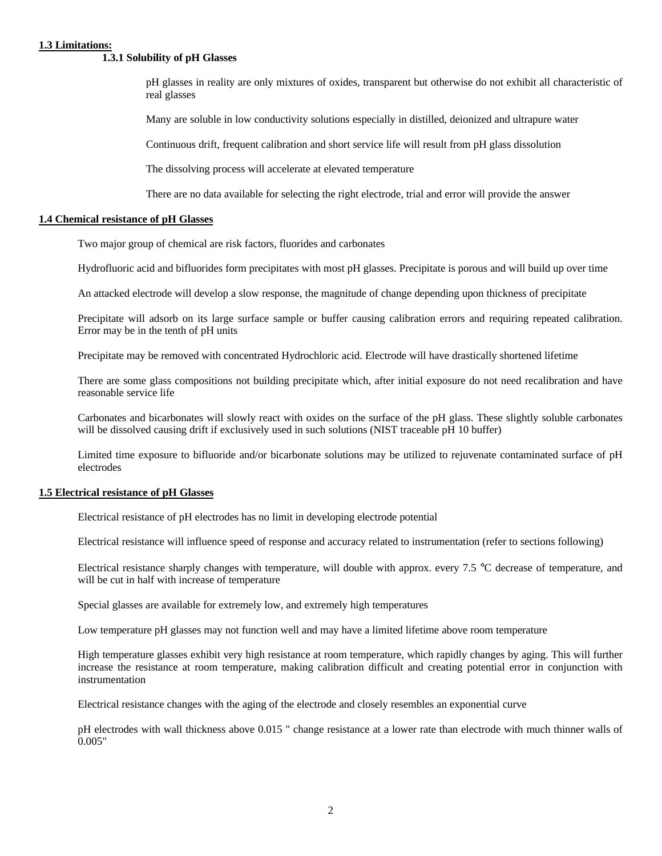#### **1.3 Limitations:**

#### **1.3.1 Solubility of pH Glasses**

pH glasses in reality are only mixtures of oxides, transparent but otherwise do not exhibit all characteristic of real glasses

Many are soluble in low conductivity solutions especially in distilled, deionized and ultrapure water

Continuous drift, frequent calibration and short service life will result from pH glass dissolution

The dissolving process will accelerate at elevated temperature

There are no data available for selecting the right electrode, trial and error will provide the answer

#### **1.4 Chemical resistance of pH Glasses**

Two major group of chemical are risk factors, fluorides and carbonates

Hydrofluoric acid and bifluorides form precipitates with most pH glasses. Precipitate is porous and will build up over time

An attacked electrode will develop a slow response, the magnitude of change depending upon thickness of precipitate

Precipitate will adsorb on its large surface sample or buffer causing calibration errors and requiring repeated calibration. Error may be in the tenth of pH units

Precipitate may be removed with concentrated Hydrochloric acid. Electrode will have drastically shortened lifetime

There are some glass compositions not building precipitate which, after initial exposure do not need recalibration and have reasonable service life

Carbonates and bicarbonates will slowly react with oxides on the surface of the pH glass. These slightly soluble carbonates will be dissolved causing drift if exclusively used in such solutions (NIST traceable pH 10 buffer)

Limited time exposure to bifluoride and/or bicarbonate solutions may be utilized to rejuvenate contaminated surface of pH electrodes

#### **1.5 Electrical resistance of pH Glasses**

Electrical resistance of pH electrodes has no limit in developing electrode potential

Electrical resistance will influence speed of response and accuracy related to instrumentation (refer to sections following)

Electrical resistance sharply changes with temperature, will double with approx. every 7.5 °C decrease of temperature, and will be cut in half with increase of temperature

Special glasses are available for extremely low, and extremely high temperatures

Low temperature pH glasses may not function well and may have a limited lifetime above room temperature

High temperature glasses exhibit very high resistance at room temperature, which rapidly changes by aging. This will further increase the resistance at room temperature, making calibration difficult and creating potential error in conjunction with instrumentation

Electrical resistance changes with the aging of the electrode and closely resembles an exponential curve

pH electrodes with wall thickness above 0.015 " change resistance at a lower rate than electrode with much thinner walls of 0.005"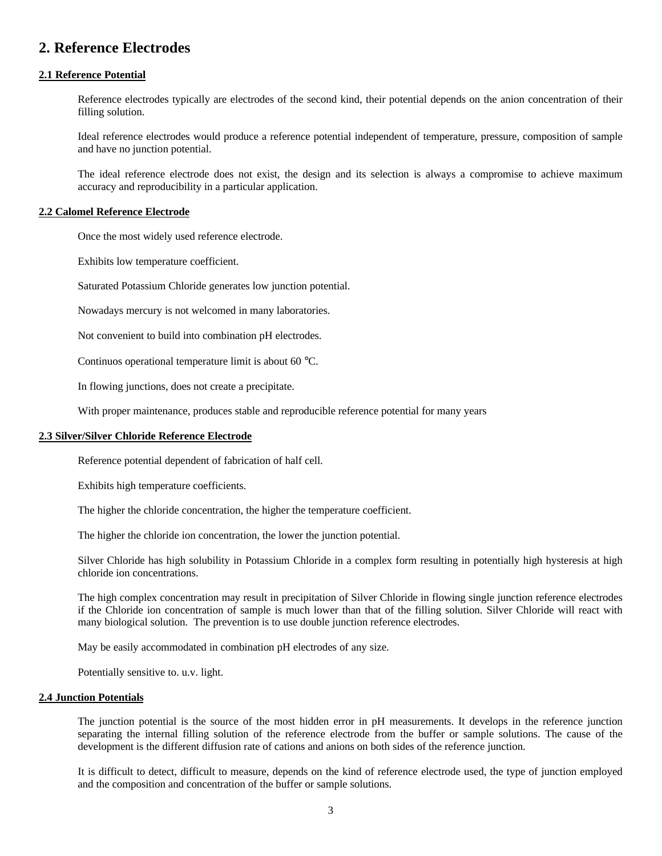## **2. Reference Electrodes**

#### **2.1 Reference Potential**

Reference electrodes typically are electrodes of the second kind, their potential depends on the anion concentration of their filling solution.

Ideal reference electrodes would produce a reference potential independent of temperature, pressure, composition of sample and have no junction potential.

The ideal reference electrode does not exist, the design and its selection is always a compromise to achieve maximum accuracy and reproducibility in a particular application.

#### **2.2 Calomel Reference Electrode**

Once the most widely used reference electrode.

Exhibits low temperature coefficient.

Saturated Potassium Chloride generates low junction potential.

Nowadays mercury is not welcomed in many laboratories.

Not convenient to build into combination pH electrodes.

Continuos operational temperature limit is about 60 °C.

In flowing junctions, does not create a precipitate.

With proper maintenance, produces stable and reproducible reference potential for many years

#### **2.3 Silver/Silver Chloride Reference Electrode**

Reference potential dependent of fabrication of half cell.

Exhibits high temperature coefficients.

The higher the chloride concentration, the higher the temperature coefficient.

The higher the chloride ion concentration, the lower the junction potential.

Silver Chloride has high solubility in Potassium Chloride in a complex form resulting in potentially high hysteresis at high chloride ion concentrations.

The high complex concentration may result in precipitation of Silver Chloride in flowing single junction reference electrodes if the Chloride ion concentration of sample is much lower than that of the filling solution. Silver Chloride will react with many biological solution. The prevention is to use double junction reference electrodes.

May be easily accommodated in combination pH electrodes of any size.

Potentially sensitive to. u.v. light.

#### **2.4 Junction Potentials**

The junction potential is the source of the most hidden error in pH measurements. It develops in the reference junction separating the internal filling solution of the reference electrode from the buffer or sample solutions. The cause of the development is the different diffusion rate of cations and anions on both sides of the reference junction.

It is difficult to detect, difficult to measure, depends on the kind of reference electrode used, the type of junction employed and the composition and concentration of the buffer or sample solutions.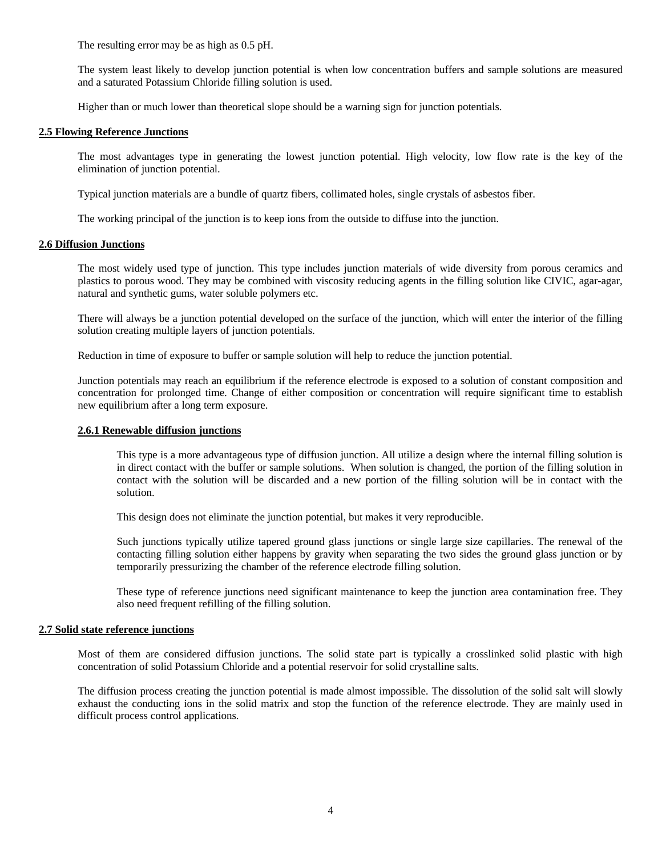The resulting error may be as high as 0.5 pH.

The system least likely to develop junction potential is when low concentration buffers and sample solutions are measured and a saturated Potassium Chloride filling solution is used.

Higher than or much lower than theoretical slope should be a warning sign for junction potentials.

#### **2.5 Flowing Reference Junctions**

The most advantages type in generating the lowest junction potential. High velocity, low flow rate is the key of the elimination of junction potential.

Typical junction materials are a bundle of quartz fibers, collimated holes, single crystals of asbestos fiber.

The working principal of the junction is to keep ions from the outside to diffuse into the junction.

#### **2.6 Diffusion Junctions**

The most widely used type of junction. This type includes junction materials of wide diversity from porous ceramics and plastics to porous wood. They may be combined with viscosity reducing agents in the filling solution like CIVIC, agar-agar, natural and synthetic gums, water soluble polymers etc.

There will always be a junction potential developed on the surface of the junction, which will enter the interior of the filling solution creating multiple layers of junction potentials.

Reduction in time of exposure to buffer or sample solution will help to reduce the junction potential.

Junction potentials may reach an equilibrium if the reference electrode is exposed to a solution of constant composition and concentration for prolonged time. Change of either composition or concentration will require significant time to establish new equilibrium after a long term exposure.

#### **2.6.1 Renewable diffusion junctions**

This type is a more advantageous type of diffusion junction. All utilize a design where the internal filling solution is in direct contact with the buffer or sample solutions. When solution is changed, the portion of the filling solution in contact with the solution will be discarded and a new portion of the filling solution will be in contact with the solution.

This design does not eliminate the junction potential, but makes it very reproducible.

Such junctions typically utilize tapered ground glass junctions or single large size capillaries. The renewal of the contacting filling solution either happens by gravity when separating the two sides the ground glass junction or by temporarily pressurizing the chamber of the reference electrode filling solution.

These type of reference junctions need significant maintenance to keep the junction area contamination free. They also need frequent refilling of the filling solution.

#### **2.7 Solid state reference junctions**

Most of them are considered diffusion junctions. The solid state part is typically a crosslinked solid plastic with high concentration of solid Potassium Chloride and a potential reservoir for solid crystalline salts.

The diffusion process creating the junction potential is made almost impossible. The dissolution of the solid salt will slowly exhaust the conducting ions in the solid matrix and stop the function of the reference electrode. They are mainly used in difficult process control applications.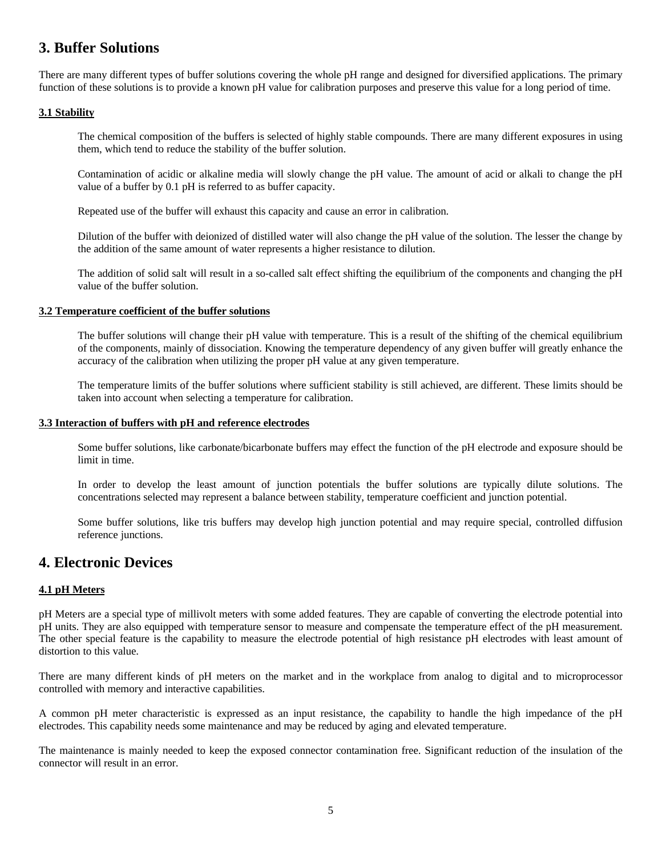## **3. Buffer Solutions**

There are many different types of buffer solutions covering the whole pH range and designed for diversified applications. The primary function of these solutions is to provide a known pH value for calibration purposes and preserve this value for a long period of time.

#### **3.1 Stability**

The chemical composition of the buffers is selected of highly stable compounds. There are many different exposures in using them, which tend to reduce the stability of the buffer solution.

Contamination of acidic or alkaline media will slowly change the pH value. The amount of acid or alkali to change the pH value of a buffer by 0.1 pH is referred to as buffer capacity.

Repeated use of the buffer will exhaust this capacity and cause an error in calibration.

Dilution of the buffer with deionized of distilled water will also change the pH value of the solution. The lesser the change by the addition of the same amount of water represents a higher resistance to dilution.

The addition of solid salt will result in a so-called salt effect shifting the equilibrium of the components and changing the pH value of the buffer solution.

#### **3.2 Temperature coefficient of the buffer solutions**

The buffer solutions will change their pH value with temperature. This is a result of the shifting of the chemical equilibrium of the components, mainly of dissociation. Knowing the temperature dependency of any given buffer will greatly enhance the accuracy of the calibration when utilizing the proper pH value at any given temperature.

The temperature limits of the buffer solutions where sufficient stability is still achieved, are different. These limits should be taken into account when selecting a temperature for calibration.

#### **3.3 Interaction of buffers with pH and reference electrodes**

Some buffer solutions, like carbonate/bicarbonate buffers may effect the function of the pH electrode and exposure should be limit in time.

In order to develop the least amount of junction potentials the buffer solutions are typically dilute solutions. The concentrations selected may represent a balance between stability, temperature coefficient and junction potential.

Some buffer solutions, like tris buffers may develop high junction potential and may require special, controlled diffusion reference junctions.

### **4. Electronic Devices**

#### **4.1 pH Meters**

pH Meters are a special type of millivolt meters with some added features. They are capable of converting the electrode potential into pH units. They are also equipped with temperature sensor to measure and compensate the temperature effect of the pH measurement. The other special feature is the capability to measure the electrode potential of high resistance pH electrodes with least amount of distortion to this value.

There are many different kinds of pH meters on the market and in the workplace from analog to digital and to microprocessor controlled with memory and interactive capabilities.

A common pH meter characteristic is expressed as an input resistance, the capability to handle the high impedance of the pH electrodes. This capability needs some maintenance and may be reduced by aging and elevated temperature.

The maintenance is mainly needed to keep the exposed connector contamination free. Significant reduction of the insulation of the connector will result in an error.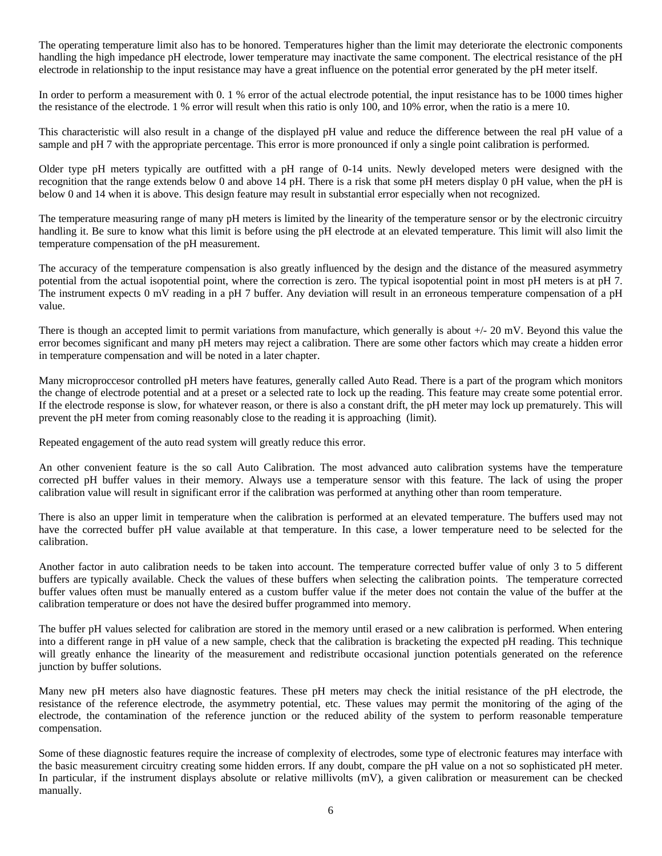The operating temperature limit also has to be honored. Temperatures higher than the limit may deteriorate the electronic components handling the high impedance pH electrode, lower temperature may inactivate the same component. The electrical resistance of the pH electrode in relationship to the input resistance may have a great influence on the potential error generated by the pH meter itself.

In order to perform a measurement with 0. 1 % error of the actual electrode potential, the input resistance has to be 1000 times higher the resistance of the electrode. 1 % error will result when this ratio is only 100, and 10% error, when the ratio is a mere 10.

This characteristic will also result in a change of the displayed pH value and reduce the difference between the real pH value of a sample and pH 7 with the appropriate percentage. This error is more pronounced if only a single point calibration is performed.

Older type pH meters typically are outfitted with a pH range of 0-14 units. Newly developed meters were designed with the recognition that the range extends below 0 and above 14 pH. There is a risk that some pH meters display 0 pH value, when the pH is below 0 and 14 when it is above. This design feature may result in substantial error especially when not recognized.

The temperature measuring range of many pH meters is limited by the linearity of the temperature sensor or by the electronic circuitry handling it. Be sure to know what this limit is before using the pH electrode at an elevated temperature. This limit will also limit the temperature compensation of the pH measurement.

The accuracy of the temperature compensation is also greatly influenced by the design and the distance of the measured asymmetry potential from the actual isopotential point, where the correction is zero. The typical isopotential point in most pH meters is at pH 7. The instrument expects 0 mV reading in a pH 7 buffer. Any deviation will result in an erroneous temperature compensation of a pH value.

There is though an accepted limit to permit variations from manufacture, which generally is about +/- 20 mV. Beyond this value the error becomes significant and many pH meters may reject a calibration. There are some other factors which may create a hidden error in temperature compensation and will be noted in a later chapter.

Many microproccesor controlled pH meters have features, generally called Auto Read. There is a part of the program which monitors the change of electrode potential and at a preset or a selected rate to lock up the reading. This feature may create some potential error. If the electrode response is slow, for whatever reason, or there is also a constant drift, the pH meter may lock up prematurely. This will prevent the pH meter from coming reasonably close to the reading it is approaching (limit).

Repeated engagement of the auto read system will greatly reduce this error.

An other convenient feature is the so call Auto Calibration. The most advanced auto calibration systems have the temperature corrected pH buffer values in their memory. Always use a temperature sensor with this feature. The lack of using the proper calibration value will result in significant error if the calibration was performed at anything other than room temperature.

There is also an upper limit in temperature when the calibration is performed at an elevated temperature. The buffers used may not have the corrected buffer pH value available at that temperature. In this case, a lower temperature need to be selected for the calibration.

Another factor in auto calibration needs to be taken into account. The temperature corrected buffer value of only 3 to 5 different buffers are typically available. Check the values of these buffers when selecting the calibration points. The temperature corrected buffer values often must be manually entered as a custom buffer value if the meter does not contain the value of the buffer at the calibration temperature or does not have the desired buffer programmed into memory.

The buffer pH values selected for calibration are stored in the memory until erased or a new calibration is performed. When entering into a different range in pH value of a new sample, check that the calibration is bracketing the expected pH reading. This technique will greatly enhance the linearity of the measurement and redistribute occasional junction potentials generated on the reference junction by buffer solutions.

Many new pH meters also have diagnostic features. These pH meters may check the initial resistance of the pH electrode, the resistance of the reference electrode, the asymmetry potential, etc. These values may permit the monitoring of the aging of the electrode, the contamination of the reference junction or the reduced ability of the system to perform reasonable temperature compensation.

Some of these diagnostic features require the increase of complexity of electrodes, some type of electronic features may interface with the basic measurement circuitry creating some hidden errors. If any doubt, compare the pH value on a not so sophisticated pH meter. In particular, if the instrument displays absolute or relative millivolts (mV), a given calibration or measurement can be checked manually.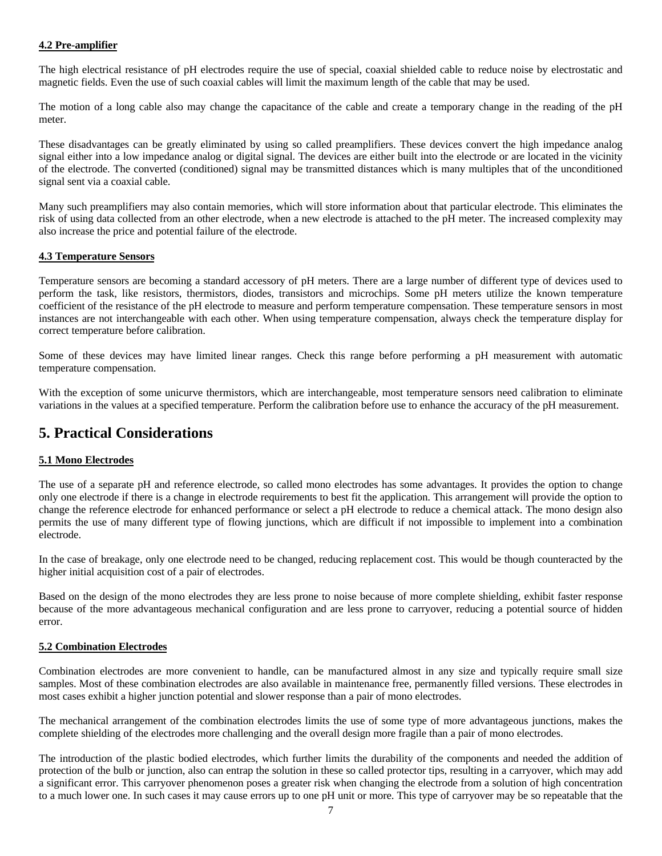#### **4.2 Pre-amplifier**

The high electrical resistance of pH electrodes require the use of special, coaxial shielded cable to reduce noise by electrostatic and magnetic fields. Even the use of such coaxial cables will limit the maximum length of the cable that may be used.

The motion of a long cable also may change the capacitance of the cable and create a temporary change in the reading of the pH meter.

These disadvantages can be greatly eliminated by using so called preamplifiers. These devices convert the high impedance analog signal either into a low impedance analog or digital signal. The devices are either built into the electrode or are located in the vicinity of the electrode. The converted (conditioned) signal may be transmitted distances which is many multiples that of the unconditioned signal sent via a coaxial cable.

Many such preamplifiers may also contain memories, which will store information about that particular electrode. This eliminates the risk of using data collected from an other electrode, when a new electrode is attached to the pH meter. The increased complexity may also increase the price and potential failure of the electrode.

#### **4.3 Temperature Sensors**

Temperature sensors are becoming a standard accessory of pH meters. There are a large number of different type of devices used to perform the task, like resistors, thermistors, diodes, transistors and microchips. Some pH meters utilize the known temperature coefficient of the resistance of the pH electrode to measure and perform temperature compensation. These temperature sensors in most instances are not interchangeable with each other. When using temperature compensation, always check the temperature display for correct temperature before calibration.

Some of these devices may have limited linear ranges. Check this range before performing a pH measurement with automatic temperature compensation.

With the exception of some unicurve thermistors, which are interchangeable, most temperature sensors need calibration to eliminate variations in the values at a specified temperature. Perform the calibration before use to enhance the accuracy of the pH measurement.

## **5. Practical Considerations**

#### **5.1 Mono Electrodes**

The use of a separate pH and reference electrode, so called mono electrodes has some advantages. It provides the option to change only one electrode if there is a change in electrode requirements to best fit the application. This arrangement will provide the option to change the reference electrode for enhanced performance or select a pH electrode to reduce a chemical attack. The mono design also permits the use of many different type of flowing junctions, which are difficult if not impossible to implement into a combination electrode.

In the case of breakage, only one electrode need to be changed, reducing replacement cost. This would be though counteracted by the higher initial acquisition cost of a pair of electrodes.

Based on the design of the mono electrodes they are less prone to noise because of more complete shielding, exhibit faster response because of the more advantageous mechanical configuration and are less prone to carryover, reducing a potential source of hidden error.

#### **5.2 Combination Electrodes**

Combination electrodes are more convenient to handle, can be manufactured almost in any size and typically require small size samples. Most of these combination electrodes are also available in maintenance free, permanently filled versions. These electrodes in most cases exhibit a higher junction potential and slower response than a pair of mono electrodes.

The mechanical arrangement of the combination electrodes limits the use of some type of more advantageous junctions, makes the complete shielding of the electrodes more challenging and the overall design more fragile than a pair of mono electrodes.

The introduction of the plastic bodied electrodes, which further limits the durability of the components and needed the addition of protection of the bulb or junction, also can entrap the solution in these so called protector tips, resulting in a carryover, which may add a significant error. This carryover phenomenon poses a greater risk when changing the electrode from a solution of high concentration to a much lower one. In such cases it may cause errors up to one pH unit or more. This type of carryover may be so repeatable that the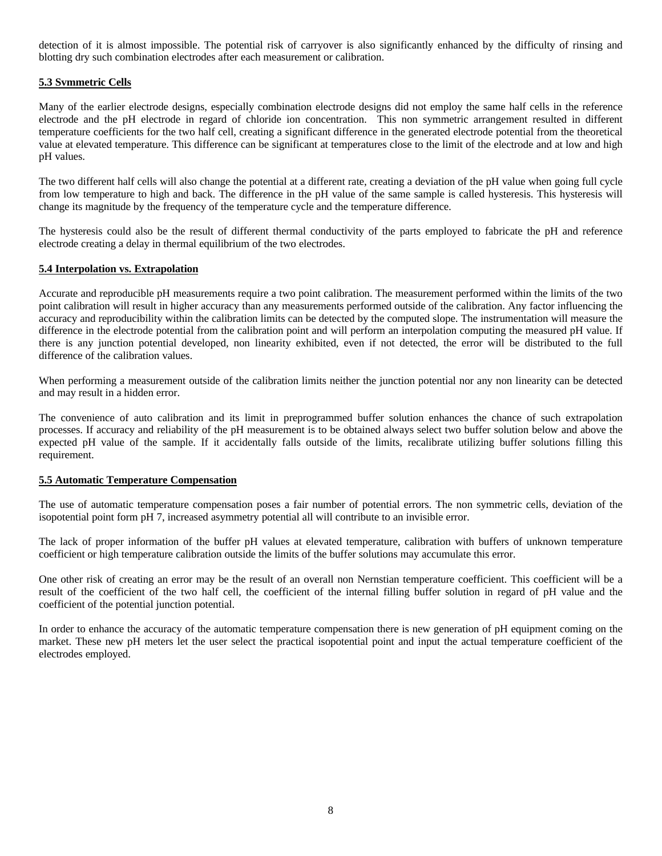detection of it is almost impossible. The potential risk of carryover is also significantly enhanced by the difficulty of rinsing and blotting dry such combination electrodes after each measurement or calibration.

#### **5.3 Svmmetric Cells**

Many of the earlier electrode designs, especially combination electrode designs did not employ the same half cells in the reference electrode and the pH electrode in regard of chloride ion concentration. This non symmetric arrangement resulted in different temperature coefficients for the two half cell, creating a significant difference in the generated electrode potential from the theoretical value at elevated temperature. This difference can be significant at temperatures close to the limit of the electrode and at low and high pH values.

The two different half cells will also change the potential at a different rate, creating a deviation of the pH value when going full cycle from low temperature to high and back. The difference in the pH value of the same sample is called hysteresis. This hysteresis will change its magnitude by the frequency of the temperature cycle and the temperature difference.

The hysteresis could also be the result of different thermal conductivity of the parts employed to fabricate the pH and reference electrode creating a delay in thermal equilibrium of the two electrodes.

#### **5.4 Interpolation vs. Extrapolation**

Accurate and reproducible pH measurements require a two point calibration. The measurement performed within the limits of the two point calibration will result in higher accuracy than any measurements performed outside of the calibration. Any factor influencing the accuracy and reproducibility within the calibration limits can be detected by the computed slope. The instrumentation will measure the difference in the electrode potential from the calibration point and will perform an interpolation computing the measured pH value. If there is any junction potential developed, non linearity exhibited, even if not detected, the error will be distributed to the full difference of the calibration values.

When performing a measurement outside of the calibration limits neither the junction potential nor any non linearity can be detected and may result in a hidden error.

The convenience of auto calibration and its limit in preprogrammed buffer solution enhances the chance of such extrapolation processes. If accuracy and reliability of the pH measurement is to be obtained always select two buffer solution below and above the expected pH value of the sample. If it accidentally falls outside of the limits, recalibrate utilizing buffer solutions filling this requirement.

#### **5.5 Automatic Temperature Compensation**

The use of automatic temperature compensation poses a fair number of potential errors. The non symmetric cells, deviation of the isopotential point form pH 7, increased asymmetry potential all will contribute to an invisible error.

The lack of proper information of the buffer pH values at elevated temperature, calibration with buffers of unknown temperature coefficient or high temperature calibration outside the limits of the buffer solutions may accumulate this error.

One other risk of creating an error may be the result of an overall non Nernstian temperature coefficient. This coefficient will be a result of the coefficient of the two half cell, the coefficient of the internal filling buffer solution in regard of pH value and the coefficient of the potential junction potential.

In order to enhance the accuracy of the automatic temperature compensation there is new generation of pH equipment coming on the market. These new pH meters let the user select the practical isopotential point and input the actual temperature coefficient of the electrodes employed.